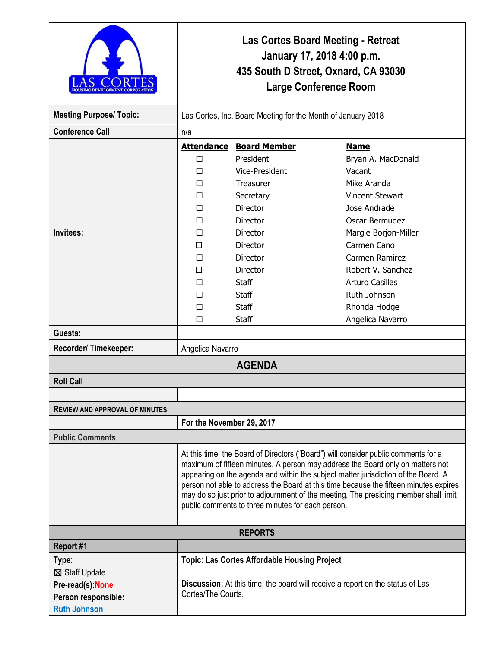|                                                                                           | <b>Las Cortes Board Meeting - Retreat</b><br>January 17, 2018 4:00 p.m.<br>435 South D Street, Oxnard, CA 93030<br><b>Large Conference Room</b>                                                                                                                                                                                                                                                                                                                                                  |                                                                                                      |                                                                                                                                                        |  |
|-------------------------------------------------------------------------------------------|--------------------------------------------------------------------------------------------------------------------------------------------------------------------------------------------------------------------------------------------------------------------------------------------------------------------------------------------------------------------------------------------------------------------------------------------------------------------------------------------------|------------------------------------------------------------------------------------------------------|--------------------------------------------------------------------------------------------------------------------------------------------------------|--|
| <b>Meeting Purpose/ Topic:</b>                                                            | Las Cortes, Inc. Board Meeting for the Month of January 2018                                                                                                                                                                                                                                                                                                                                                                                                                                     |                                                                                                      |                                                                                                                                                        |  |
| <b>Conference Call</b>                                                                    | n/a                                                                                                                                                                                                                                                                                                                                                                                                                                                                                              |                                                                                                      |                                                                                                                                                        |  |
|                                                                                           | <b>Attendance</b><br>$\Box$<br>□<br>П<br>□                                                                                                                                                                                                                                                                                                                                                                                                                                                       | <b>Board Member</b><br>President<br>Vice-President<br><b>Treasurer</b><br>Secretary                  | <b>Name</b><br>Bryan A. MacDonald<br>Vacant<br>Mike Aranda<br><b>Vincent Stewart</b>                                                                   |  |
| Invitees:                                                                                 | ⊓<br>□<br>П<br>П<br>□<br>□<br>П<br>□                                                                                                                                                                                                                                                                                                                                                                                                                                                             | Director<br>Director<br>Director<br>Director<br>Director<br>Director<br><b>Staff</b><br><b>Staff</b> | Jose Andrade<br>Oscar Bermudez<br>Margie Borjon-Miller<br>Carmen Cano<br>Carmen Ramirez<br>Robert V. Sanchez<br><b>Arturo Casillas</b><br>Ruth Johnson |  |
| Guests:                                                                                   | П<br>П                                                                                                                                                                                                                                                                                                                                                                                                                                                                                           | <b>Staff</b><br>Staff                                                                                | Rhonda Hodge<br>Angelica Navarro                                                                                                                       |  |
| Recorder/Timekeeper:                                                                      | Angelica Navarro                                                                                                                                                                                                                                                                                                                                                                                                                                                                                 |                                                                                                      |                                                                                                                                                        |  |
|                                                                                           |                                                                                                                                                                                                                                                                                                                                                                                                                                                                                                  | <b>AGENDA</b>                                                                                        |                                                                                                                                                        |  |
| <b>Roll Call</b>                                                                          |                                                                                                                                                                                                                                                                                                                                                                                                                                                                                                  |                                                                                                      |                                                                                                                                                        |  |
|                                                                                           |                                                                                                                                                                                                                                                                                                                                                                                                                                                                                                  |                                                                                                      |                                                                                                                                                        |  |
| <b>REVIEW AND APPROVAL OF MINUTES</b>                                                     |                                                                                                                                                                                                                                                                                                                                                                                                                                                                                                  |                                                                                                      |                                                                                                                                                        |  |
|                                                                                           | For the November 29, 2017                                                                                                                                                                                                                                                                                                                                                                                                                                                                        |                                                                                                      |                                                                                                                                                        |  |
| <b>Public Comments</b>                                                                    |                                                                                                                                                                                                                                                                                                                                                                                                                                                                                                  |                                                                                                      |                                                                                                                                                        |  |
|                                                                                           | At this time, the Board of Directors ("Board") will consider public comments for a<br>maximum of fifteen minutes. A person may address the Board only on matters not<br>appearing on the agenda and within the subject matter jurisdiction of the Board. A<br>person not able to address the Board at this time because the fifteen minutes expires<br>may do so just prior to adjournment of the meeting. The presiding member shall limit<br>public comments to three minutes for each person. |                                                                                                      |                                                                                                                                                        |  |
| <b>REPORTS</b>                                                                            |                                                                                                                                                                                                                                                                                                                                                                                                                                                                                                  |                                                                                                      |                                                                                                                                                        |  |
| Report #1                                                                                 |                                                                                                                                                                                                                                                                                                                                                                                                                                                                                                  |                                                                                                      |                                                                                                                                                        |  |
| Type:<br>⊠ Staff Update<br>Pre-read(s):None<br>Person responsible:<br><b>Ruth Johnson</b> | <b>Topic: Las Cortes Affordable Housing Project</b><br><b>Discussion:</b> At this time, the board will receive a report on the status of Las<br>Cortes/The Courts.                                                                                                                                                                                                                                                                                                                               |                                                                                                      |                                                                                                                                                        |  |